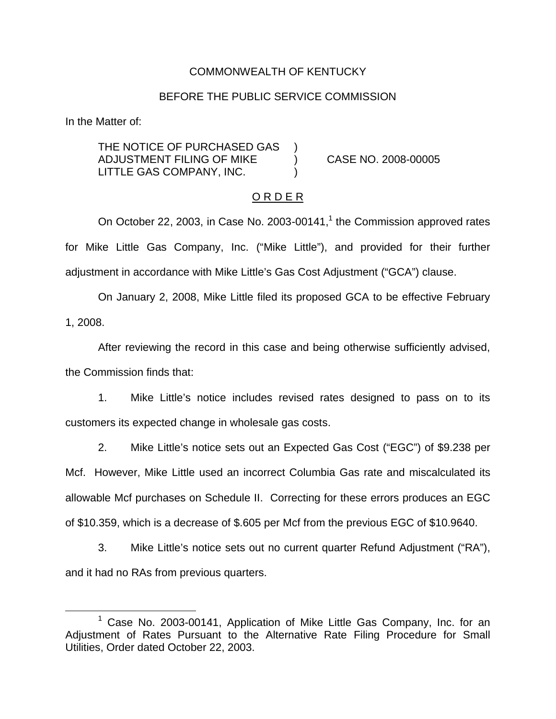### COMMONWEALTH OF KENTUCKY

#### BEFORE THE PUBLIC SERVICE COMMISSION

In the Matter of:

THE NOTICE OF PURCHASED GAS ADJUSTMENT FILING OF MIKE ) CASE NO. 2008-00005 LITTLE GAS COMPANY, INC.

### O R D E R

On October 22, 2003, in Case No. 2003-00141, $<sup>1</sup>$  the Commission approved rates</sup> for Mike Little Gas Company, Inc. ("Mike Little"), and provided for their further adjustment in accordance with Mike Little's Gas Cost Adjustment ("GCA") clause.

On January 2, 2008, Mike Little filed its proposed GCA to be effective February 1, 2008.

After reviewing the record in this case and being otherwise sufficiently advised, the Commission finds that:

1. Mike Little's notice includes revised rates designed to pass on to its customers its expected change in wholesale gas costs.

2. Mike Little's notice sets out an Expected Gas Cost ("EGC") of \$9.238 per Mcf. However, Mike Little used an incorrect Columbia Gas rate and miscalculated its allowable Mcf purchases on Schedule II. Correcting for these errors produces an EGC of \$10.359, which is a decrease of \$.605 per Mcf from the previous EGC of \$10.9640.

3. Mike Little's notice sets out no current quarter Refund Adjustment ("RA"), and it had no RAs from previous quarters.

<sup>&</sup>lt;sup>1</sup> Case No. 2003-00141, Application of Mike Little Gas Company, Inc. for an Adjustment of Rates Pursuant to the Alternative Rate Filing Procedure for Small Utilities, Order dated October 22, 2003.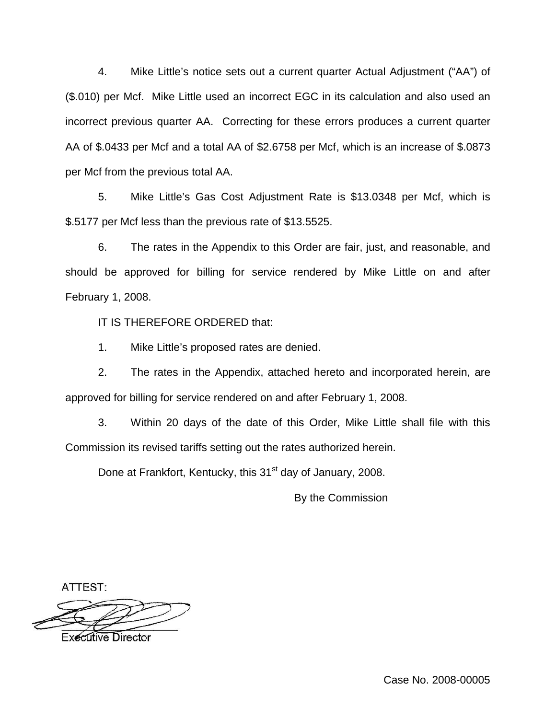4. Mike Little's notice sets out a current quarter Actual Adjustment ("AA") of (\$.010) per Mcf. Mike Little used an incorrect EGC in its calculation and also used an incorrect previous quarter AA. Correcting for these errors produces a current quarter AA of \$.0433 per Mcf and a total AA of \$2.6758 per Mcf, which is an increase of \$.0873 per Mcf from the previous total AA.

5. Mike Little's Gas Cost Adjustment Rate is \$13.0348 per Mcf, which is \$.5177 per Mcf less than the previous rate of \$13.5525.

6. The rates in the Appendix to this Order are fair, just, and reasonable, and should be approved for billing for service rendered by Mike Little on and after February 1, 2008.

IT IS THEREFORE ORDERED that:

1. Mike Little's proposed rates are denied.

2. The rates in the Appendix, attached hereto and incorporated herein, are approved for billing for service rendered on and after February 1, 2008.

3. Within 20 days of the date of this Order, Mike Little shall file with this Commission its revised tariffs setting out the rates authorized herein.

Done at Frankfort, Kentucky, this 31<sup>st</sup> day of January, 2008.

By the Commission

ATTEST:



**Executive Director**